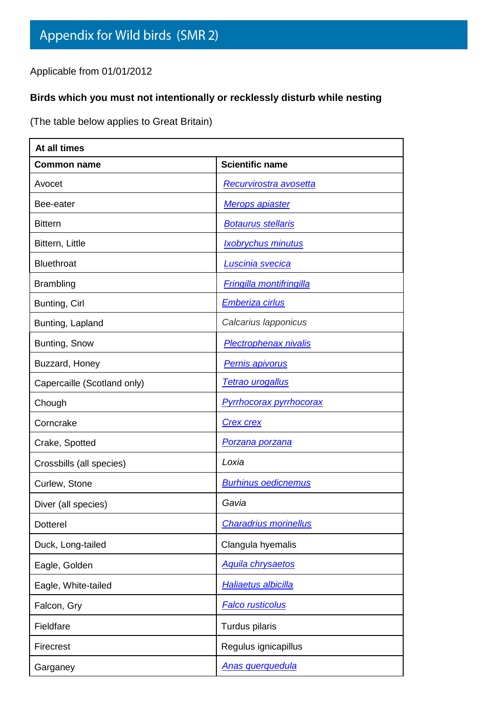Applicable from 01/01/2012

## **Birds which you must not intentionally or recklessly disturb while nesting**

(The table below applies to Great Britain)

| At all times                |                                 |  |  |  |
|-----------------------------|---------------------------------|--|--|--|
| <b>Common name</b>          | <b>Scientific name</b>          |  |  |  |
| Avocet                      | <b>Recurvirostra avosetta</b>   |  |  |  |
| Bee-eater                   | Merops apiaster                 |  |  |  |
| <b>Bittern</b>              | <b>Botaurus stellaris</b>       |  |  |  |
| Bittern, Little             | <b>Ixobrychus minutus</b>       |  |  |  |
| <b>Bluethroat</b>           | Luscinia svecica                |  |  |  |
| <b>Brambling</b>            | <b>Fringilla montifringilla</b> |  |  |  |
| Bunting, Cirl               | Emberiza cirlus                 |  |  |  |
| Bunting, Lapland            | Calcarius lapponicus            |  |  |  |
| Bunting, Snow               | <b>Plectrophenax nivalis</b>    |  |  |  |
| Buzzard, Honey              | <b>Pernis apivorus</b>          |  |  |  |
| Capercaille (Scotland only) | <b>Tetrao urogallus</b>         |  |  |  |
| Chough                      | <b>Pyrrhocorax pyrrhocorax</b>  |  |  |  |
| Corncrake                   | <b>Crex crex</b>                |  |  |  |
| Crake, Spotted              | <u>Porzana porzana</u>          |  |  |  |
| Crossbills (all species)    | Loxia                           |  |  |  |
| Curlew, Stone               | <b>Burhinus oedicnemus</b>      |  |  |  |
| Diver (all species)         | Gavia                           |  |  |  |
| <b>Dotterel</b>             | <b>Charadrius morinellus</b>    |  |  |  |
| Duck, Long-tailed           | Clangula hyemalis               |  |  |  |
| Eagle, Golden               | <b>Aquila chrysaetos</b>        |  |  |  |
| Eagle, White-tailed         | Haliaetus albicilla             |  |  |  |
| Falcon, Gry                 | <b>Falco rusticolus</b>         |  |  |  |
| Fieldfare                   | Turdus pilaris                  |  |  |  |
| Firecrest                   | Regulus ignicapillus            |  |  |  |
| Garganey                    | <b>Anas querquedula</b>         |  |  |  |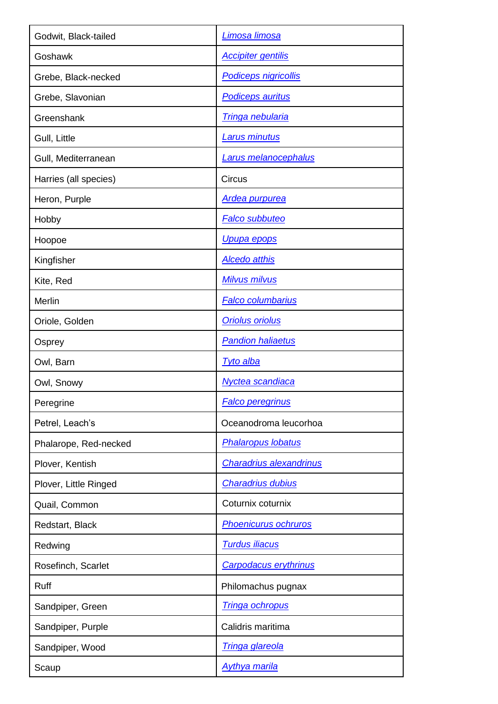| Godwit, Black-tailed  | Limosa limosa                  |  |
|-----------------------|--------------------------------|--|
| Goshawk               | <b>Accipiter gentilis</b>      |  |
| Grebe, Black-necked   | <b>Podiceps nigricollis</b>    |  |
| Grebe, Slavonian      | <b>Podiceps auritus</b>        |  |
| Greenshank            | <u>Tringa nebularia</u>        |  |
| Gull, Little          | <b>Larus minutus</b>           |  |
| Gull, Mediterranean   | Larus melanocephalus           |  |
| Harries (all species) | Circus                         |  |
| Heron, Purple         | <b>Ardea purpurea</b>          |  |
| Hobby                 | <b>Falco subbuteo</b>          |  |
| Hoopoe                | <u>Upupa epops</u>             |  |
| Kingfisher            | <b>Alcedo atthis</b>           |  |
| Kite, Red             | <b>Milvus milvus</b>           |  |
| Merlin                | <b>Falco columbarius</b>       |  |
| Oriole, Golden        | <b>Oriolus oriolus</b>         |  |
| Osprey                | <b>Pandion haliaetus</b>       |  |
|                       |                                |  |
| Owl, Barn             | <b>Tyto alba</b>               |  |
| Owl, Snowy            | Nyctea scandiaca               |  |
| Peregrine             | <b>Falco peregrinus</b>        |  |
| Petrel, Leach's       | Oceanodroma leucorhoa          |  |
| Phalarope, Red-necked | <b>Phalaropus lobatus</b>      |  |
| Plover, Kentish       | <b>Charadrius alexandrinus</b> |  |
| Plover, Little Ringed | <b>Charadrius dubius</b>       |  |
| Quail, Common         | Coturnix coturnix              |  |
| Redstart, Black       | <b>Phoenicurus ochruros</b>    |  |
| Redwing               | <b>Turdus iliacus</b>          |  |
| Rosefinch, Scarlet    | <b>Carpodacus erythrinus</b>   |  |
| <b>Ruff</b>           | Philomachus pugnax             |  |
| Sandpiper, Green      | <b>Tringa ochropus</b>         |  |
| Sandpiper, Purple     | Calidris maritima              |  |
| Sandpiper, Wood       | <b>Tringa glareola</b>         |  |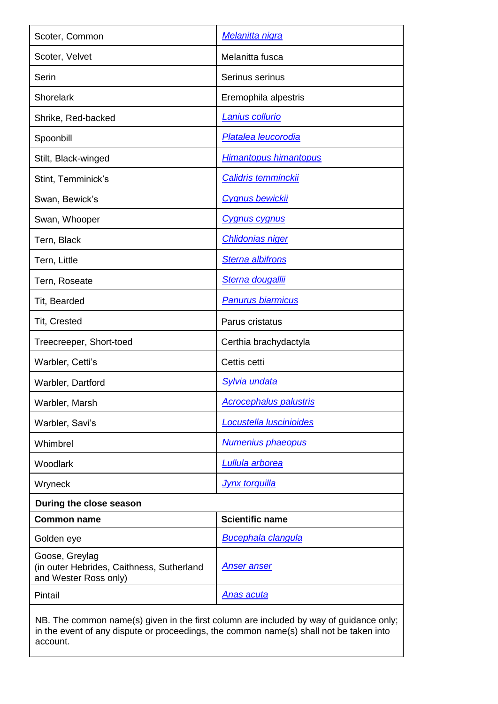| Scoter, Common                                                                                     | Melanitta nigra                                                                        |  |
|----------------------------------------------------------------------------------------------------|----------------------------------------------------------------------------------------|--|
| Scoter, Velvet                                                                                     | Melanitta fusca                                                                        |  |
| Serin                                                                                              | Serinus serinus                                                                        |  |
| <b>Shorelark</b>                                                                                   | Eremophila alpestris                                                                   |  |
| Shrike, Red-backed                                                                                 | Lanius collurio                                                                        |  |
| Spoonbill                                                                                          | Platalea leucorodia                                                                    |  |
| Stilt, Black-winged                                                                                | <b>Himantopus himantopus</b>                                                           |  |
| Stint, Temminick's                                                                                 | <b>Calidris temminckij</b>                                                             |  |
| Swan, Bewick's                                                                                     | <b>Cygnus bewickii</b>                                                                 |  |
| Swan, Whooper                                                                                      | <u>Cygnus cygnus</u>                                                                   |  |
| Tern, Black                                                                                        | <b>Chlidonias niger</b>                                                                |  |
| Tern, Little                                                                                       | <b>Sterna albifrons</b>                                                                |  |
| Tern, Roseate                                                                                      | Sterna dougallii                                                                       |  |
| Tit, Bearded                                                                                       | <b>Panurus biarmicus</b>                                                               |  |
| Tit, Crested                                                                                       | Parus cristatus                                                                        |  |
| Treecreeper, Short-toed                                                                            | Certhia brachydactyla                                                                  |  |
| Warbler, Cetti's                                                                                   | Cettis cetti                                                                           |  |
| Warbler, Dartford                                                                                  | <b>Sylvia undata</b>                                                                   |  |
| Warbler, Marsh                                                                                     | <b>Acrocephalus palustris</b>                                                          |  |
| Warbler, Savi's                                                                                    | Locustella luscinioides                                                                |  |
| Whimbrel                                                                                           | Numenius phaeopus                                                                      |  |
| Woodlark                                                                                           | <b>Lullula arborea</b>                                                                 |  |
| Wryneck                                                                                            | <b>Jynx torquilla</b>                                                                  |  |
| During the close season                                                                            |                                                                                        |  |
| <b>Common name</b>                                                                                 | <b>Scientific name</b>                                                                 |  |
| Golden eye                                                                                         | <b>Bucephala clangula</b>                                                              |  |
| Goose, Greylag<br>(in outer Hebrides, Caithness, Sutherland<br>and Wester Ross only)               | <u>Anser anser</u>                                                                     |  |
| Pintail                                                                                            | <u>Anas acuta</u>                                                                      |  |
| in the event of any dispute or proceedings, the common name(s) shall not be taken into<br>account. | NB. The common name(s) given in the first column are included by way of guidance only; |  |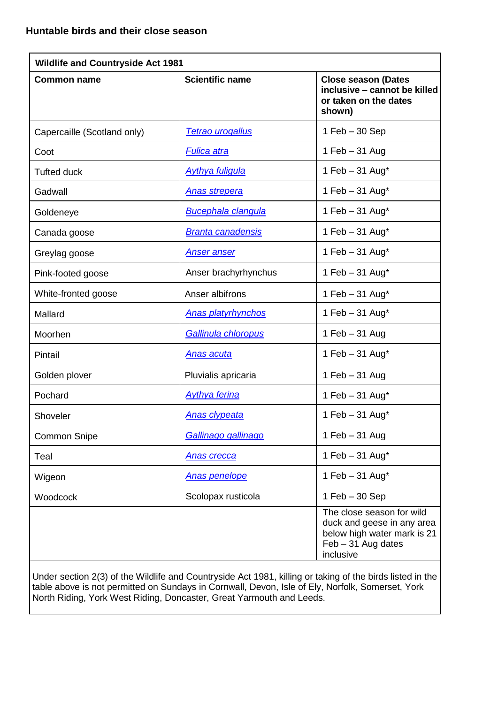| <b>Wildlife and Countryside Act 1981</b> |                           |                                                                                                                           |  |  |
|------------------------------------------|---------------------------|---------------------------------------------------------------------------------------------------------------------------|--|--|
| <b>Common name</b>                       | <b>Scientific name</b>    | <b>Close season (Dates</b><br>inclusive - cannot be killed<br>or taken on the dates<br>shown)                             |  |  |
| Capercaille (Scotland only)              | <b>Tetrao urogallus</b>   | $1$ Feb $-30$ Sep                                                                                                         |  |  |
| Coot                                     | <b>Fulica atra</b>        | 1 Feb $-31$ Aug                                                                                                           |  |  |
| <b>Tufted duck</b>                       | <b>Aythya fuligula</b>    | 1 Feb - 31 Aug*                                                                                                           |  |  |
| Gadwall                                  | <b>Anas strepera</b>      | 1 Feb $-31$ Aug*                                                                                                          |  |  |
| Goldeneye                                | <b>Bucephala clangula</b> | 1 Feb - 31 Aug*                                                                                                           |  |  |
| Canada goose                             | <b>Branta canadensis</b>  | 1 Feb $-31$ Aug*                                                                                                          |  |  |
| Greylag goose                            | <b>Anser anser</b>        | 1 Feb $-31$ Aug*                                                                                                          |  |  |
| Pink-footed goose                        | Anser brachyrhynchus      | 1 Feb $-31$ Aug*                                                                                                          |  |  |
| White-fronted goose                      | Anser albifrons           | 1 Feb $-31$ Aug*                                                                                                          |  |  |
| Mallard                                  | <b>Anas platyrhynchos</b> | 1 Feb $-31$ Aug*                                                                                                          |  |  |
| Moorhen                                  | Gallinula chloropus       | 1 Feb $-31$ Aug                                                                                                           |  |  |
| Pintail                                  | <u>Anas acuta</u>         | 1 Feb $-31$ Aug*                                                                                                          |  |  |
| Golden plover                            | Pluvialis apricaria       | 1 Feb - 31 Aug                                                                                                            |  |  |
| Pochard                                  | <b>Aythya ferina</b>      | 1 Feb $-31$ Aug*                                                                                                          |  |  |
| Shoveler                                 | <b>Anas clypeata</b>      | 1 Feb - 31 Aug*                                                                                                           |  |  |
| <b>Common Snipe</b>                      | Gallinago gallinago       | 1 Feb $-31$ Aug                                                                                                           |  |  |
| Teal                                     | <b>Anas crecca</b>        | 1 Feb $-31$ Aug*                                                                                                          |  |  |
| Wigeon                                   | <b>Anas penelope</b>      | 1 Feb $-31$ Aug*                                                                                                          |  |  |
| Woodcock                                 | Scolopax rusticola        | $1$ Feb $-30$ Sep                                                                                                         |  |  |
|                                          |                           | The close season for wild<br>duck and geese in any area<br>below high water mark is 21<br>Feb - 31 Aug dates<br>inclusive |  |  |

Under section 2(3) of the Wildlife and Countryside Act 1981, killing or taking of the birds listed in the table above is not permitted on Sundays in Cornwall, Devon, Isle of Ely, Norfolk, Somerset, York North Riding, York West Riding, Doncaster, Great Yarmouth and Leeds.